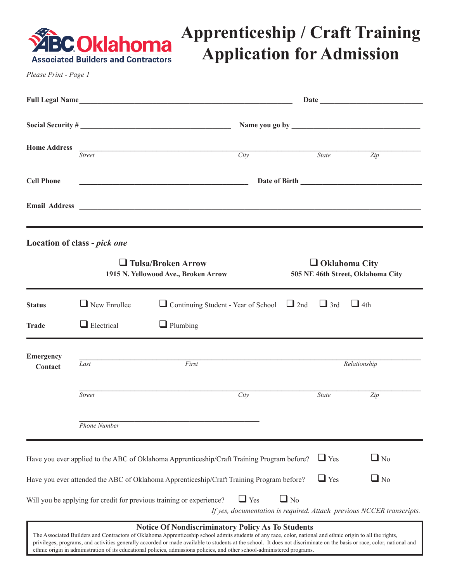

### **Apprenticeship / Craft Training Application for Admission**

*Please Print - Page 1*

|                             |                                                                   | Full Legal Name                                                                                                                                                                                                                |           |                                                           |                                                                       |  |
|-----------------------------|-------------------------------------------------------------------|--------------------------------------------------------------------------------------------------------------------------------------------------------------------------------------------------------------------------------|-----------|-----------------------------------------------------------|-----------------------------------------------------------------------|--|
|                             |                                                                   |                                                                                                                                                                                                                                |           |                                                           |                                                                       |  |
| <b>Home Address</b>         | <b>Street</b>                                                     | Citv                                                                                                                                                                                                                           |           | <b>State</b>                                              | $\overline{Zip}$                                                      |  |
| <b>Cell Phone</b>           | <u> 1989 - Johann Barn, fransk politik amerikansk politik (</u>   |                                                                                                                                                                                                                                |           |                                                           |                                                                       |  |
|                             |                                                                   | Email Address Land and Second Second Second Second Second Second Second Second Second Second Second Second Second Second Second Second Second Second Second Second Second Second Second Second Second Second Second Second Sec |           |                                                           |                                                                       |  |
|                             | Location of class - pick one                                      |                                                                                                                                                                                                                                |           |                                                           |                                                                       |  |
|                             | $\Box$ Tulsa/Broken Arrow<br>1915 N. Yellowood Ave., Broken Arrow |                                                                                                                                                                                                                                |           | $\Box$ Oklahoma City<br>505 NE 46th Street, Oklahoma City |                                                                       |  |
| <b>Status</b>               | $\Box$ New Enrollee                                               | $\Box$ Continuing Student - Year of School $\Box$ 2nd $\Box$ 3rd                                                                                                                                                               |           |                                                           | $\Box$ 4th                                                            |  |
| <b>Trade</b>                | $\Box$ Electrical                                                 | $\Box$ Plumbing                                                                                                                                                                                                                |           |                                                           |                                                                       |  |
| <b>Emergency</b><br>Contact | First<br>Last                                                     |                                                                                                                                                                                                                                |           | Relationship                                              |                                                                       |  |
|                             | <b>Street</b>                                                     | City                                                                                                                                                                                                                           |           | <b>State</b>                                              | Zip                                                                   |  |
|                             | Phone Number                                                      |                                                                                                                                                                                                                                |           |                                                           |                                                                       |  |
|                             |                                                                   | Have you ever applied to the ABC of Oklahoma Apprenticeship/Craft Training Program before?                                                                                                                                     |           | $\Box$ Yes                                                | $\Box$ No                                                             |  |
|                             |                                                                   | Have you ever attended the ABC of Oklahoma Apprenticeship/Craft Training Program before?                                                                                                                                       |           | $\Box$ Yes                                                | $\Box$ No                                                             |  |
|                             |                                                                   | $\Box$ Yes<br>Will you be applying for credit for previous training or experience?                                                                                                                                             | $\Box$ No |                                                           | If yes, documentation is required. Attach previous NCCER transcripts. |  |

#### **Notice Of Nondiscriminatory Policy As To Students**

The Associated Builders and Contractors of Oklahoma Apprenticeship school admits students of any race, color, national and ethnic origin to all the rights, privileges, programs, and activities generally accorded or made available to students at the school. It does not discriminate on the basis or race, color, national and ethnic origin in administration of its educational policies, admissions policies, and other school-administered programs.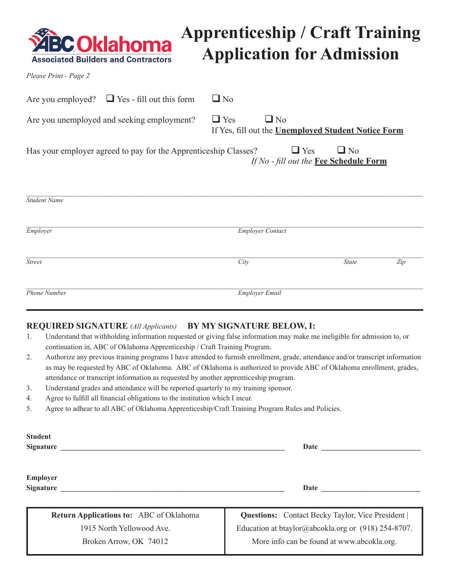

## **Apprenticeship / Craft Training Application for Admission**

*Please Print - Page 2*

| Are you employed? $\Box$ Yes - fill out this form               | $\Box$ No               |                                                     |     |  |  |
|-----------------------------------------------------------------|-------------------------|-----------------------------------------------------|-----|--|--|
| Are you unemployed and seeking employment?                      | $\Box$ Yes<br>$\Box$ No | If Yes, fill out the Unemployed Student Notice Form |     |  |  |
| Has your employer agreed to pay for the Apprenticeship Classes? | $\Box$ Yes              | $\Box$ No<br>If No - fill out the Fee Schedule Form |     |  |  |
| <b>Student Name</b>                                             |                         |                                                     |     |  |  |
| Employer                                                        | <b>Employer Contact</b> |                                                     |     |  |  |
| <b>Street</b>                                                   | City                    | <b>State</b>                                        | Zip |  |  |
| <b>Phone Number</b>                                             | Employer Email          |                                                     |     |  |  |

#### **REQUIRED SIGNATURE** *(All Applicants)* **BY MY SIGNATURE BELOW, I:**

- 1. Understand that withholding information requested or giving false information may make me ineligible for admission to, or continuation in, ABC of Oklahoma Apprenticeship / Craft Training Program.
- 2. Authorize any previous training programs I have attended to furnish enrollment, grade, attendance and/or transcript information as may be requested by ABC of Oklahoma. ABC of Oklahoma is authorized to provide ABC of Oklahoma enrollment, grades, attendance or transcript information as requested by another apprenticeship program.
- 3. Understand grades and attendance will be reported quarterly to my training sponsor.
- 4. Agree to fulfill all financial obligations to the institution which I incur.
- 5. Agree to adhear to all ABC of Oklahoma Apprenticeship/Craft Training Program Rules and Policies.

| <b>Student</b><br><b>Signature</b>             | <b>Date</b>                                                                                         |  |  |
|------------------------------------------------|-----------------------------------------------------------------------------------------------------|--|--|
| <b>Employer</b><br><b>Signature</b>            | Date                                                                                                |  |  |
| <b>Return Applications to:</b> ABC of Oklahoma | <b>Questions:</b> Contact Becky Taylor, Vice President                                              |  |  |
| 1915 North Yellowood Ave.                      | Education at btaylor@abcokla.org or $(918)$ 254-8707.<br>More info can be found at www.abcokla.org. |  |  |
| Broken Arrow, OK 74012                         |                                                                                                     |  |  |